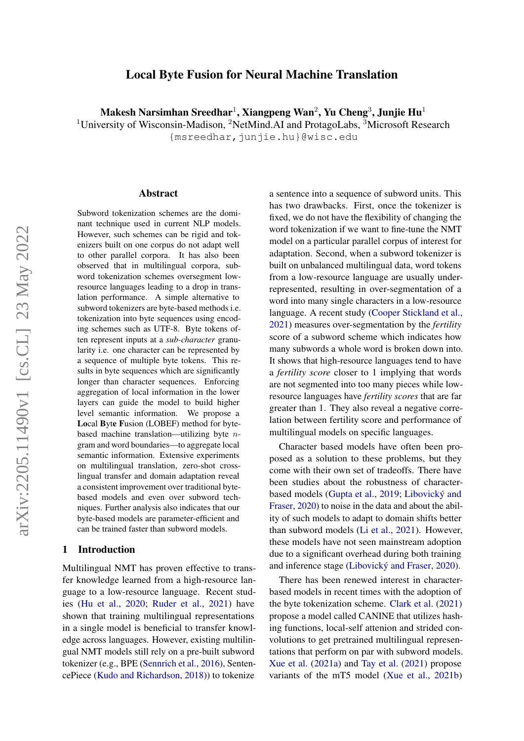# Local Byte Fusion for Neural Machine Translation

<span id="page-0-0"></span>Makesh Narsimhan Sreedhar $^1$ , Xiangpeng Wan $^2$ , Yu Cheng $^3$ , Junjie Hu $^1$ 

<sup>1</sup>University of Wisconsin-Madison, <sup>2</sup>NetMind.AI and ProtagoLabs, <sup>3</sup>Microsoft Research

{msreedhar,junjie.hu}@wisc.edu

#### Abstract

Subword tokenization schemes are the dominant technique used in current NLP models. However, such schemes can be rigid and tokenizers built on one corpus do not adapt well to other parallel corpora. It has also been observed that in multilingual corpora, subword tokenization schemes oversegment lowresource languages leading to a drop in translation performance. A simple alternative to subword tokenizers are byte-based methods i.e. tokenization into byte sequences using encoding schemes such as UTF-8. Byte tokens often represent inputs at a *sub-character* granularity i.e. one character can be represented by a sequence of multiple byte tokens. This results in byte sequences which are significantly longer than character sequences. Enforcing aggregation of local information in the lower layers can guide the model to build higher level semantic information. We propose a Local Byte Fusion (LOBEF) method for bytebased machine translation—utilizing byte  $n$ gram and word boundaries—to aggregate local semantic information. Extensive experiments on multilingual translation, zero-shot crosslingual transfer and domain adaptation reveal a consistent improvement over traditional bytebased models and even over subword techniques. Further analysis also indicates that our byte-based models are parameter-efficient and can be trained faster than subword models.

#### 1 Introduction

Multilingual NMT has proven effective to transfer knowledge learned from a high-resource language to a low-resource language. Recent studies [\(Hu et al.,](#page-9-0) [2020;](#page-9-0) [Ruder et al.,](#page-10-0) [2021\)](#page-10-0) have shown that training multilingual representations in a single model is beneficial to transfer knowledge across languages. However, existing multilingual NMT models still rely on a pre-built subword tokenizer (e.g., BPE [\(Sennrich et al.,](#page-10-1) [2016\)](#page-10-1), SentencePiece [\(Kudo and Richardson,](#page-10-2) [2018\)](#page-10-2)) to tokenize

a sentence into a sequence of subword units. This has two drawbacks. First, once the tokenizer is fixed, we do not have the flexibility of changing the word tokenization if we want to fine-tune the NMT model on a particular parallel corpus of interest for adaptation. Second, when a subword tokenizer is built on unbalanced multilingual data, word tokens from a low-resource language are usually underrepresented, resulting in over-segmentation of a word into many single characters in a low-resource language. A recent study [\(Cooper Stickland et al.,](#page-9-1) [2021\)](#page-9-1) measures over-segmentation by the *fertility* score of a subword scheme which indicates how many subwords a whole word is broken down into. It shows that high-resource languages tend to have a *fertility score* closer to 1 implying that words are not segmented into too many pieces while lowresource languages have *fertility scores* that are far greater than 1. They also reveal a negative correlation between fertility score and performance of multilingual models on specific languages.

Character based models have often been proposed as a solution to these problems, but they come with their own set of tradeoffs. There have been studies about the robustness of characterbased models [\(Gupta et al.,](#page-9-2) [2019;](#page-9-2) [Libovický and](#page-10-3) [Fraser,](#page-10-3) [2020\)](#page-10-3) to noise in the data and about the ability of such models to adapt to domain shifts better than subword models [\(Li et al.,](#page-10-4) [2021\)](#page-10-4). However, these models have not seen mainstream adoption due to a significant overhead during both training and inference stage [\(Libovický and Fraser,](#page-10-3) [2020\)](#page-10-3).

There has been renewed interest in characterbased models in recent times with the adoption of the byte tokenization scheme. [Clark et al.](#page-9-3) [\(2021\)](#page-9-3) propose a model called CANINE that utilizes hashing functions, local-self attenion and strided convolutions to get pretrained multilingual representations that perform on par with subword models. [Xue et al.](#page-11-0) [\(2021a\)](#page-11-0) and [Tay et al.](#page-10-5) [\(2021\)](#page-10-5) propose variants of the mT5 model [\(Xue et al.,](#page-11-1) [2021b\)](#page-11-1)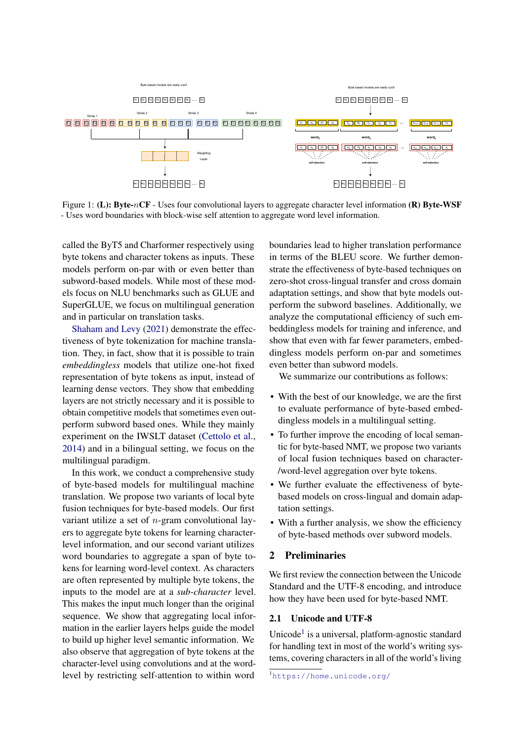

Figure 1: (L): Byte-nCF - Uses four convolutional layers to aggregate character level information (R) Byte-WSF - Uses word boundaries with block-wise self attention to aggregate word level information.

called the ByT5 and Charformer respectively using byte tokens and character tokens as inputs. These models perform on-par with or even better than subword-based models. While most of these models focus on NLU benchmarks such as GLUE and SuperGLUE, we focus on multilingual generation and in particular on translation tasks.

[Shaham and Levy](#page-10-6) [\(2021\)](#page-10-6) demonstrate the effectiveness of byte tokenization for machine translation. They, in fact, show that it is possible to train *embeddingless* models that utilize one-hot fixed representation of byte tokens as input, instead of learning dense vectors. They show that embedding layers are not strictly necessary and it is possible to obtain competitive models that sometimes even outperform subword based ones. While they mainly experiment on the IWSLT dataset [\(Cettolo et al.,](#page-9-4) [2014\)](#page-9-4) and in a bilingual setting, we focus on the multilingual paradigm.

In this work, we conduct a comprehensive study of byte-based models for multilingual machine translation. We propose two variants of local byte fusion techniques for byte-based models. Our first variant utilize a set of  $n$ -gram convolutional layers to aggregate byte tokens for learning characterlevel information, and our second variant utilizes word boundaries to aggregate a span of byte tokens for learning word-level context. As characters are often represented by multiple byte tokens, the inputs to the model are at a *sub-character* level. This makes the input much longer than the original sequence. We show that aggregating local information in the earlier layers helps guide the model to build up higher level semantic information. We also observe that aggregation of byte tokens at the character-level using convolutions and at the wordlevel by restricting self-attention to within word

boundaries lead to higher translation performance in terms of the BLEU score. We further demonstrate the effectiveness of byte-based techniques on zero-shot cross-lingual transfer and cross domain adaptation settings, and show that byte models outperform the subword baselines. Additionally, we analyze the computational efficiency of such embeddingless models for training and inference, and show that even with far fewer parameters, embeddingless models perform on-par and sometimes even better than subword models.

We summarize our contributions as follows:

- With the best of our knowledge, we are the first to evaluate performance of byte-based embeddingless models in a multilingual setting.
- To further improve the encoding of local semantic for byte-based NMT, we propose two variants of local fusion techniques based on character- /word-level aggregation over byte tokens.
- We further evaluate the effectiveness of bytebased models on cross-lingual and domain adaptation settings.
- With a further analysis, we show the efficiency of byte-based methods over subword models.

### 2 Preliminaries

We first review the connection between the Unicode Standard and the UTF-8 encoding, and introduce how they have been used for byte-based NMT.

#### 2.1 Unicode and UTF-8

Unicode<sup>[1](#page-0-0)</sup> is a universal, platform-agnostic standard for handling text in most of the world's writing systems, covering characters in all of the world's living

<sup>1</sup><https://home.unicode.org/>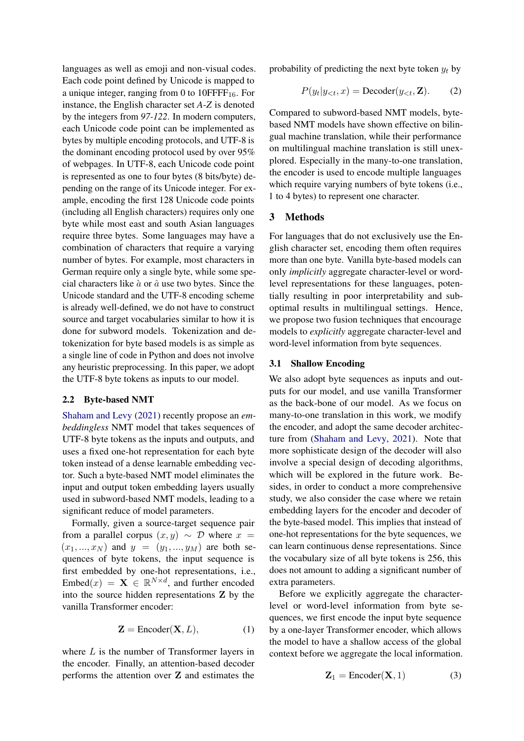languages as well as emoji and non-visual codes. Each code point defined by Unicode is mapped to a unique integer, ranging from 0 to  $10$ FFFF<sub>16</sub>. For instance, the English character set *A-Z* is denoted by the integers from *97-122*. In modern computers, each Unicode code point can be implemented as bytes by multiple encoding protocols, and UTF-8 is the dominant encoding protocol used by over 95% of webpages. In UTF-8, each Unicode code point is represented as one to four bytes (8 bits/byte) depending on the range of its Unicode integer. For example, encoding the first 128 Unicode code points (including all English characters) requires only one byte while most east and south Asian languages require three bytes. Some languages may have a combination of characters that require a varying number of bytes. For example, most characters in German require only a single byte, while some special characters like  $\dot{a}$  or  $\hat{a}$  use two bytes. Since the Unicode standard and the UTF-8 encoding scheme is already well-defined, we do not have to construct source and target vocabularies similar to how it is done for subword models. Tokenization and detokenization for byte based models is as simple as a single line of code in Python and does not involve any heuristic preprocessing. In this paper, we adopt the UTF-8 byte tokens as inputs to our model.

#### <span id="page-2-1"></span>2.2 Byte-based NMT

[Shaham and Levy](#page-10-6) [\(2021\)](#page-10-6) recently propose an *embeddingless* NMT model that takes sequences of UTF-8 byte tokens as the inputs and outputs, and uses a fixed one-hot representation for each byte token instead of a dense learnable embedding vector. Such a byte-based NMT model eliminates the input and output token embedding layers usually used in subword-based NMT models, leading to a significant reduce of model parameters.

Formally, given a source-target sequence pair from a parallel corpus  $(x, y) \sim \mathcal{D}$  where  $x =$  $(x_1, ..., x_N)$  and  $y = (y_1, ..., y_M)$  are both sequences of byte tokens, the input sequence is first embedded by one-hot representations, i.e., Embed $(x) = \mathbf{X} \in \mathbb{R}^{N \times d}$ , and further encoded into the source hidden representations Z by the vanilla Transformer encoder:

$$
\mathbf{Z} = \text{Encoder}(\mathbf{X}, L),\tag{1}
$$

where L is the number of Transformer layers in the encoder. Finally, an attention-based decoder performs the attention over Z and estimates the probability of predicting the next byte token  $y_t$  by

<span id="page-2-0"></span>
$$
P(y_t|y_{<};,x) = \text{Decoder}(y_{< t}, \mathbf{Z}).\tag{2}
$$

Compared to subword-based NMT models, bytebased NMT models have shown effective on bilingual machine translation, while their performance on multilingual machine translation is still unexplored. Especially in the many-to-one translation, the encoder is used to encode multiple languages which require varying numbers of byte tokens (i.e., 1 to 4 bytes) to represent one character.

### 3 Methods

For languages that do not exclusively use the English character set, encoding them often requires more than one byte. Vanilla byte-based models can only *implicitly* aggregate character-level or wordlevel representations for these languages, potentially resulting in poor interpretability and suboptimal results in multilingual settings. Hence, we propose two fusion techniques that encourage models to *explicitly* aggregate character-level and word-level information from byte sequences.

### 3.1 Shallow Encoding

We also adopt byte sequences as inputs and outputs for our model, and use vanilla Transformer as the back-bone of our model. As we focus on many-to-one translation in this work, we modify the encoder, and adopt the same decoder architecture from [\(Shaham and Levy,](#page-10-6) [2021\)](#page-10-6). Note that more sophisticate design of the decoder will also involve a special design of decoding algorithms, which will be explored in the future work. Besides, in order to conduct a more comprehensive study, we also consider the case where we retain embedding layers for the encoder and decoder of the byte-based model. This implies that instead of one-hot representations for the byte sequences, we can learn continuous dense representations. Since the vocabulary size of all byte tokens is 256, this does not amount to adding a significant number of extra parameters.

Before we explicitly aggregate the characterlevel or word-level information from byte sequences, we first encode the input byte sequence by a one-layer Transformer encoder, which allows the model to have a shallow access of the global context before we aggregate the local information.

$$
\mathbf{Z}_1 = \text{Encoder}(\mathbf{X}, 1) \tag{3}
$$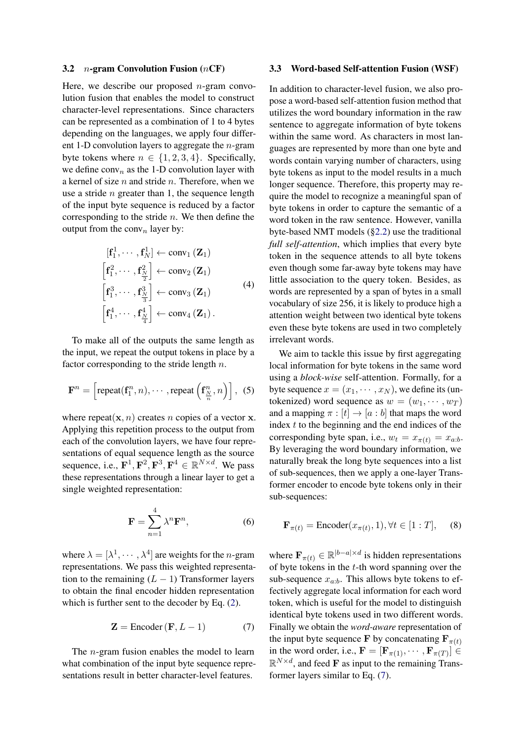#### <span id="page-3-1"></span>3.2  $n$ -gram Convolution Fusion (*n*CF)

Here, we describe our proposed  $n$ -gram convolution fusion that enables the model to construct character-level representations. Since characters can be represented as a combination of 1 to 4 bytes depending on the languages, we apply four different 1-D convolution layers to aggregate the  $n$ -gram byte tokens where  $n \in \{1, 2, 3, 4\}$ . Specifically, we define  $conv_n$  as the 1-D convolution layer with a kernel of size  $n$  and stride  $n$ . Therefore, when we use a stride  $n$  greater than 1, the sequence length of the input byte sequence is reduced by a factor corresponding to the stride  $n$ . We then define the output from the conv<sub>n</sub> layer by:

$$
[\mathbf{f}_{1}^{1}, \cdots, \mathbf{f}_{N}^{1}] \leftarrow \text{conv}_{1} (\mathbf{Z}_{1})
$$
\n
$$
[\mathbf{f}_{1}^{2}, \cdots, \mathbf{f}_{\frac{N}{2}}^{2}] \leftarrow \text{conv}_{2} (\mathbf{Z}_{1})
$$
\n
$$
[\mathbf{f}_{1}^{3}, \cdots, \mathbf{f}_{\frac{N}{3}}^{3}] \leftarrow \text{conv}_{3} (\mathbf{Z}_{1})
$$
\n
$$
[\mathbf{f}_{1}^{4}, \cdots, \mathbf{f}_{\frac{N}{4}}^{4}] \leftarrow \text{conv}_{4} (\mathbf{Z}_{1}).
$$
\n(4)

To make all of the outputs the same length as the input, we repeat the output tokens in place by a factor corresponding to the stride length  $n$ .

$$
\mathbf{F}^{n} = \left[\text{repeat}(\mathbf{f}_{1}^{n}, n), \cdots, \text{repeat}\left(\mathbf{f}_{\frac{N}{n}}^{n}, n\right)\right], (5)
$$

where repeat $(x, n)$  creates n copies of a vector x. Applying this repetition process to the output from each of the convolution layers, we have four representations of equal sequence length as the source sequence, i.e.,  $\mathbf{F}^1$ ,  $\mathbf{F}^2$ ,  $\mathbf{F}^3$ ,  $\mathbf{F}^4 \in \mathbb{R}^{N \times d}$ . We pass these representations through a linear layer to get a single weighted representation:

$$
\mathbf{F} = \sum_{n=1}^{4} \lambda^n \mathbf{F}^n, \tag{6}
$$

where  $\lambda = [\lambda^1, \cdots, \lambda^4]$  are weights for the *n*-gram representations. We pass this weighted representation to the remaining  $(L - 1)$  Transformer layers to obtain the final encoder hidden representation which is further sent to the decoder by Eq. [\(2\)](#page-2-0).

$$
\mathbf{Z} = \text{Encoder}(\mathbf{F}, L - 1) \tag{7}
$$

The *n*-gram fusion enables the model to learn what combination of the input byte sequence representations result in better character-level features.

#### <span id="page-3-2"></span>3.3 Word-based Self-attention Fusion (WSF)

In addition to character-level fusion, we also propose a word-based self-attention fusion method that utilizes the word boundary information in the raw sentence to aggregate information of byte tokens within the same word. As characters in most languages are represented by more than one byte and words contain varying number of characters, using byte tokens as input to the model results in a much longer sequence. Therefore, this property may require the model to recognize a meaningful span of byte tokens in order to capture the semantic of a word token in the raw sentence. However, vanilla byte-based NMT models ([§2.2\)](#page-2-1) use the traditional *full self-attention*, which implies that every byte token in the sequence attends to all byte tokens even though some far-away byte tokens may have little association to the query token. Besides, as words are represented by a span of bytes in a small vocabulary of size 256, it is likely to produce high a attention weight between two identical byte tokens even these byte tokens are used in two completely irrelevant words.

We aim to tackle this issue by first aggregating local information for byte tokens in the same word using a *block-wise* self-attention. Formally, for a byte sequence  $x = (x_1, \dots, x_N)$ , we define its (untokenized) word sequence as  $w = (w_1, \dots, w_T)$ and a mapping  $\pi : [t] \rightarrow [a : b]$  that maps the word index  $t$  to the beginning and the end indices of the corresponding byte span, i.e.,  $w_t = x_{\pi(t)} = x_{a:b}$ . By leveraging the word boundary information, we naturally break the long byte sequences into a list of sub-sequences, then we apply a one-layer Transformer encoder to encode byte tokens only in their sub-sequences:

$$
\mathbf{F}_{\pi(t)} = \text{Encoder}(x_{\pi(t)}, 1), \forall t \in [1 : T], \quad (8)
$$

<span id="page-3-0"></span>where  $\mathbf{F}_{\pi(t)} \in \mathbb{R}^{|b-a| \times d}$  is hidden representations of byte tokens in the  $t$ -th word spanning over the sub-sequence  $x_{a:b}$ . This allows byte tokens to effectively aggregate local information for each word token, which is useful for the model to distinguish identical byte tokens used in two different words. Finally we obtain the *word-aware* representation of the input byte sequence F by concatenating  $\mathbf{F}_{\pi(t)}$ in the word order, i.e.,  $\mathbf{F} = [\mathbf{F}_{\pi(1)}, \cdots, \mathbf{F}_{\pi(T)}] \in$  $\mathbb{R}^{N \times d}$ , and feed **F** as input to the remaining Transformer layers similar to Eq. [\(7\)](#page-3-0).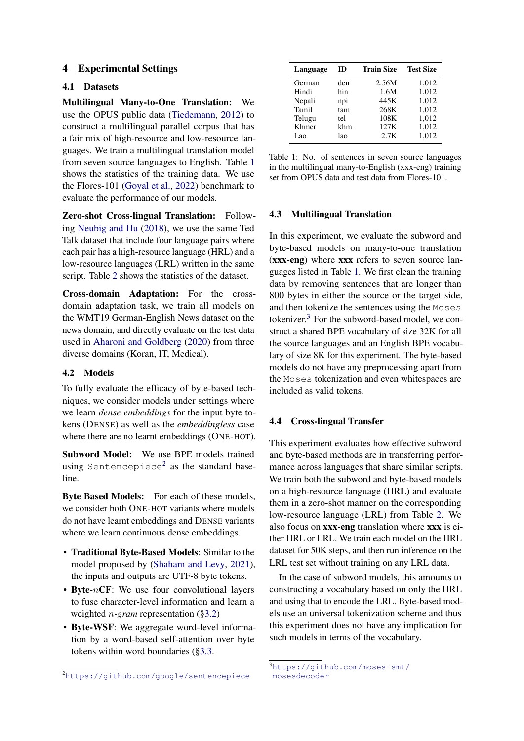## 4 Experimental Settings

## 4.1 Datasets

Multilingual Many-to-One Translation: We use the OPUS public data [\(Tiedemann,](#page-11-2) [2012\)](#page-11-2) to construct a multilingual parallel corpus that has a fair mix of high-resource and low-resource languages. We train a multilingual translation model from seven source languages to English. Table [1](#page-4-0) shows the statistics of the training data. We use the Flores-101 [\(Goyal et al.,](#page-9-5) [2022\)](#page-9-5) benchmark to evaluate the performance of our models.

Zero-shot Cross-lingual Translation: Following [Neubig and Hu](#page-10-7) [\(2018\)](#page-10-7), we use the same Ted Talk dataset that include four language pairs where each pair has a high-resource language (HRL) and a low-resource languages (LRL) written in the same script. Table [2](#page-5-0) shows the statistics of the dataset.

Cross-domain Adaptation: For the crossdomain adaptation task, we train all models on the WMT19 German-English News dataset on the news domain, and directly evaluate on the test data used in [Aharoni and Goldberg](#page-9-6) [\(2020\)](#page-9-6) from three diverse domains (Koran, IT, Medical).

## 4.2 Models

To fully evaluate the efficacy of byte-based techniques, we consider models under settings where we learn *dense embeddings* for the input byte tokens (DENSE) as well as the *embeddingless* case where there are no learnt embeddings (ONE-HOT).

Subword Model: We use BPE models trained using Sentencepiece $^2$  $^2$  as the standard baseline.

Byte Based Models: For each of these models, we consider both ONE-HOT variants where models do not have learnt embeddings and DENSE variants where we learn continuous dense embeddings.

- Traditional Byte-Based Models: Similar to the model proposed by [\(Shaham and Levy,](#page-10-6) [2021\)](#page-10-6), the inputs and outputs are UTF-8 byte tokens.
- Byte- $nCF$ : We use four convolutional layers to fuse character-level information and learn a weighted n*-gram* representation ([§3.2\)](#page-3-1)
- Byte-WSF: We aggregate word-level information by a word-based self-attention over byte tokens within word boundaries ([§3.3.](#page-3-2)

<span id="page-4-0"></span>

| Language | ID  | <b>Train Size</b> | <b>Test Size</b> |
|----------|-----|-------------------|------------------|
| German   | deu | 2.56M             | 1,012            |
| Hindi    | hin | 1.6M              | 1,012            |
| Nepali   | npi | 445K              | 1,012            |
| Tamil    | tam | 268K              | 1,012            |
| Telugu   | tel | 108K              | 1,012            |
| Khmer    | khm | 127K              | 1,012            |
| Lao      | lao | 2.7K              | 1,012            |

Table 1: No. of sentences in seven source languages in the multilingual many-to-English (xxx-eng) training set from OPUS data and test data from Flores-101.

#### 4.3 Multilingual Translation

In this experiment, we evaluate the subword and byte-based models on many-to-one translation (xxx-eng) where xxx refers to seven source languages listed in Table [1.](#page-4-0) We first clean the training data by removing sentences that are longer than 800 bytes in either the source or the target side, and then tokenize the sentences using the Moses tokenizer. $3$  For the subword-based model, we construct a shared BPE vocabulary of size 32K for all the source languages and an English BPE vocabulary of size 8K for this experiment. The byte-based models do not have any preprocessing apart from the Moses tokenization and even whitespaces are included as valid tokens.

## <span id="page-4-1"></span>4.4 Cross-lingual Transfer

This experiment evaluates how effective subword and byte-based methods are in transferring performance across languages that share similar scripts. We train both the subword and byte-based models on a high-resource language (HRL) and evaluate them in a zero-shot manner on the corresponding low-resource language (LRL) from Table [2.](#page-5-0) We also focus on xxx-eng translation where xxx is either HRL or LRL. We train each model on the HRL dataset for 50K steps, and then run inference on the LRL test set without training on any LRL data.

In the case of subword models, this amounts to constructing a vocabulary based on only the HRL and using that to encode the LRL. Byte-based models use an universal tokenization scheme and thus this experiment does not have any implication for such models in terms of the vocabulary.

<sup>2</sup><https://github.com/google/sentencepiece>

<sup>3</sup>[https://github.com/moses-smt/](https://github.com/moses-smt/mosesdecoder) [mosesdecoder](https://github.com/moses-smt/mosesdecoder)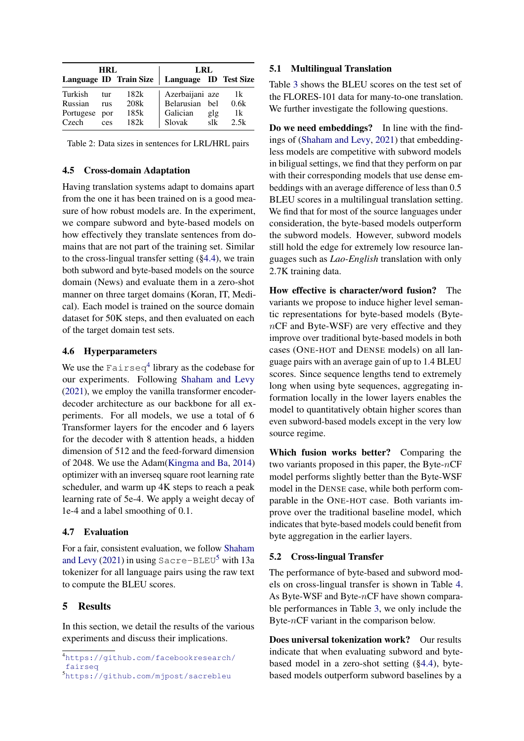<span id="page-5-0"></span>

| HRL       |            |                        | LRL                   |           |      |  |
|-----------|------------|------------------------|-----------------------|-----------|------|--|
|           |            | Language ID Train Size | Language ID Test Size |           |      |  |
| Turkish   | tur        | 182k                   | Azerbaijani aze       |           | 1k   |  |
| Russian   | <b>THS</b> | 208k                   | Belarusian            | hel       | 0.6k |  |
| Portugese | por        | 185k                   | Galician              | glg       | 1k   |  |
| Czech     | ces        | 182k                   | Slovak                | $s$ l $k$ | 2.5k |  |

Table 2: Data sizes in sentences for LRL/HRL pairs

### 4.5 Cross-domain Adaptation

Having translation systems adapt to domains apart from the one it has been trained on is a good measure of how robust models are. In the experiment, we compare subword and byte-based models on how effectively they translate sentences from domains that are not part of the training set. Similar to the cross-lingual transfer setting ([§4.4\)](#page-4-1), we train both subword and byte-based models on the source domain (News) and evaluate them in a zero-shot manner on three target domains (Koran, IT, Medical). Each model is trained on the source domain dataset for 50K steps, and then evaluated on each of the target domain test sets.

## 4.6 Hyperparameters

We use the  $\texttt{Fairseq}^4$  $\texttt{Fairseq}^4$  library as the codebase for our experiments. Following [Shaham and Levy](#page-10-6) [\(2021\)](#page-10-6), we employ the vanilla transformer encoderdecoder architecture as our backbone for all experiments. For all models, we use a total of 6 Transformer layers for the encoder and 6 layers for the decoder with 8 attention heads, a hidden dimension of 512 and the feed-forward dimension of 2048. We use the Adam[\(Kingma and Ba,](#page-10-8) [2014\)](#page-10-8) optimizer with an inverseq square root learning rate scheduler, and warm up 4K steps to reach a peak learning rate of 5e-4. We apply a weight decay of 1e-4 and a label smoothing of 0.1.

### 4.7 Evaluation

For a fair, consistent evaluation, we follow [Shaham](#page-10-6) [and Levy](#page-10-6) [\(2021\)](#page-10-6) in using  $Sacre-BLEU<sup>5</sup>$  $Sacre-BLEU<sup>5</sup>$  $Sacre-BLEU<sup>5</sup>$  with 13a tokenizer for all language pairs using the raw text to compute the BLEU scores.

## 5 Results

In this section, we detail the results of the various experiments and discuss their implications.

### 5.1 Multilingual Translation

Table [3](#page-6-0) shows the BLEU scores on the test set of the FLORES-101 data for many-to-one translation. We further investigate the following questions.

Do we need embeddings? In line with the findings of [\(Shaham and Levy,](#page-10-6) [2021\)](#page-10-6) that embeddingless models are competitive with subword models in biligual settings, we find that they perform on par with their corresponding models that use dense embeddings with an average difference of less than 0.5 BLEU scores in a multilingual translation setting. We find that for most of the source languages under consideration, the byte-based models outperform the subword models. However, subword models still hold the edge for extremely low resource languages such as *Lao-English* translation with only 2.7K training data.

How effective is character/word fusion? The variants we propose to induce higher level semantic representations for byte-based models (BytenCF and Byte-WSF) are very effective and they improve over traditional byte-based models in both cases (ONE-HOT and DENSE models) on all language pairs with an average gain of up to 1.4 BLEU scores. Since sequence lengths tend to extremely long when using byte sequences, aggregating information locally in the lower layers enables the model to quantitatively obtain higher scores than even subword-based models except in the very low source regime.

Which fusion works better? Comparing the two variants proposed in this paper, the Byte- $nCF$ model performs slightly better than the Byte-WSF model in the DENSE case, while both perform comparable in the ONE-HOT case. Both variants improve over the traditional baseline model, which indicates that byte-based models could benefit from byte aggregation in the earlier layers.

## 5.2 Cross-lingual Transfer

The performance of byte-based and subword models on cross-lingual transfer is shown in Table [4.](#page-6-1) As Byte-WSF and Byte-nCF have shown comparable performances in Table [3,](#page-6-0) we only include the Byte- $nCF$  variant in the comparison below.

Does universal tokenization work? Our results indicate that when evaluating subword and bytebased model in a zero-shot setting ([§4.4\)](#page-4-1), bytebased models outperform subword baselines by a

<sup>4</sup>[https://github.com/facebookresearch/](https://github.com/facebookresearch/fairseq) [fairseq](https://github.com/facebookresearch/fairseq)

<sup>5</sup><https://github.com/mjpost/sacrebleu>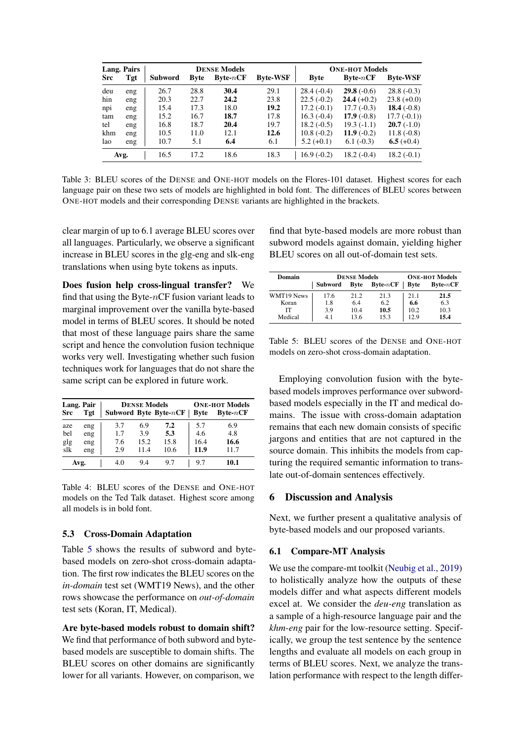<span id="page-6-0"></span>

|            | <b>Lang. Pairs</b><br><b>DENSE Models</b> |                |             | <b>ONE-HOT Models</b> |                 |              |                      |                 |
|------------|-------------------------------------------|----------------|-------------|-----------------------|-----------------|--------------|----------------------|-----------------|
| <b>Src</b> | Tgt                                       | <b>Subword</b> | <b>Byte</b> | <b>Byte-</b> $nCF$    | <b>Byte-WSF</b> | <b>Byte</b>  | $B$ vte- $nCF$       | <b>Byte-WSF</b> |
| deu        | eng                                       | 26.7           | 28.8        | 30.4                  | 29.1            | $28.4(-0.4)$ | <b>29.8</b> $(-0.6)$ | $28.8(-0.3)$    |
| hin        | eng                                       | 20.3           | 22.7        | 24.2                  | 23.8            | $22.5(-0.2)$ | $24.4(+0.2)$         | $23.8 (+0.0)$   |
| npi        | eng                                       | 15.4           | 17.3        | 18.0                  | 19.2            | $17.2(-0.1)$ | $17.7(-0.3)$         | 18.4 $(-0.8)$   |
| tam        | eng                                       | 15.2           | 16.7        | 18.7                  | 17.8            | $16.3(-0.4)$ | 17.9 $(-0.8)$        | $17.7(-0.1)$    |
| tel        | eng                                       | 16.8           | 18.7        | 20.4                  | 19.7            | $18.2(-0.5)$ | $19.3(-1.1)$         | $20.7(-1.0)$    |
| khm        | eng                                       | 10.5           | 11.0        | 12.1                  | 12.6            | $10.8(-0.2)$ | 11.9 $(-0.2)$        | $11.8(-0.8)$    |
| lao        | eng                                       | 10.7           | 5.1         | 6.4                   | 6.1             | $5.2 (+0.1)$ | $6.1(-0.3)$          | 6.5 $(+0.4)$    |
|            | Avg.                                      | 16.5           | 17.2        | 18.6                  | 18.3            | $16.9(-0.2)$ | $18.2(-0.4)$         | $18.2(-0.1)$    |

Table 3: BLEU scores of the DENSE and ONE-HOT models on the Flores-101 dataset. Highest scores for each language pair on these two sets of models are highlighted in bold font. The differences of BLEU scores between ONE-HOT models and their corresponding DENSE variants are highlighted in the brackets.

clear margin of up to 6.1 average BLEU scores over all languages. Particularly, we observe a significant increase in BLEU scores in the glg-eng and slk-eng translations when using byte tokens as inputs.

Does fusion help cross-lingual transfer? We find that using the Byte- $nCF$  fusion variant leads to marginal improvement over the vanilla byte-based model in terms of BLEU scores. It should be noted that most of these language pairs share the same script and hence the convolution fusion technique works very well. Investigating whether such fusion techniques work for languages that do not share the same script can be explored in future work.

<span id="page-6-1"></span>

|            | Lang. Pair |     | <b>DENSE Models</b> | <b>ONE-HOT Models</b>    |             |                |
|------------|------------|-----|---------------------|--------------------------|-------------|----------------|
| <b>Src</b> | Tgt        |     |                     | Subword Byte Byte- $nCF$ | <b>Byte</b> | $B$ vte- $nCF$ |
| aze        | eng        | 3.7 | 6.9                 | 7.2                      | 5.7         | 6.9            |
| bel        | eng        | 1.7 | 3.9                 | 5.3                      | 4.6         | 4.8            |
| glg        | eng        | 7.6 | 15.2                | 15.8                     | 16.4        | 16.6           |
| slk        | eng        | 2.9 | 11.4                | 10.6                     | 11.9        | 11.7           |
|            | Avg.       | 4.0 | 9.4                 | 9.7                      | 9.7         | 10.1           |

Table 4: BLEU scores of the DENSE and ONE-HOT models on the Ted Talk dataset. Highest score among all models is in bold font.

### 5.3 Cross-Domain Adaptation

Table [5](#page-6-2) shows the results of subword and bytebased models on zero-shot cross-domain adaptation. The first row indicates the BLEU scores on the *in-domain* test set (WMT19 News), and the other rows showcase the performance on *out-of-domain* test sets (Koran, IT, Medical).

Are byte-based models robust to domain shift? We find that performance of both subword and bytebased models are susceptible to domain shifts. The BLEU scores on other domains are significantly lower for all variants. However, on comparison, we

find that byte-based models are more robust than subword models against domain, yielding higher BLEU scores on all out-of-domain test sets.

<span id="page-6-2"></span>

| Domain     |         | <b>DENSE Models</b> |                | <b>ONE-HOT Models</b> |                |
|------------|---------|---------------------|----------------|-----------------------|----------------|
|            | Subword | <b>Byte</b>         | $B$ vte- $nCF$ | <b>Byte</b>           | $B$ vte- $nCF$ |
| WMT19 News | 17.6    | 21.2                | 213            | 2.1 1                 | 21.5           |
| Koran      | 1.8     | 6.4                 | 6.2            | 6.6                   | 6.3            |
| ľТ         | 3.9     | 10.4                | 10.5           | 10.2                  | 10.3           |
| Medical    | 41      | 13.6                | 153            | 12.9                  | 15.4           |

Table 5: BLEU scores of the DENSE and ONE-HOT models on zero-shot cross-domain adaptation.

Employing convolution fusion with the bytebased models improves performance over subwordbased models especially in the IT and medical domains. The issue with cross-domain adaptation remains that each new domain consists of specific jargons and entities that are not captured in the source domain. This inhibits the models from capturing the required semantic information to translate out-of-domain sentences effectively.

#### 6 Discussion and Analysis

Next, we further present a qualitative analysis of byte-based models and our proposed variants.

#### 6.1 Compare-MT Analysis

We use the compare-mt toolkit [\(Neubig et al.,](#page-10-9) [2019\)](#page-10-9) to holistically analyze how the outputs of these models differ and what aspects different models excel at. We consider the *deu-eng* translation as a sample of a high-resource language pair and the *khm-eng* pair for the low-resource setting. Specifically, we group the test sentence by the sentence lengths and evaluate all models on each group in terms of BLEU scores. Next, we analyze the translation performance with respect to the length differ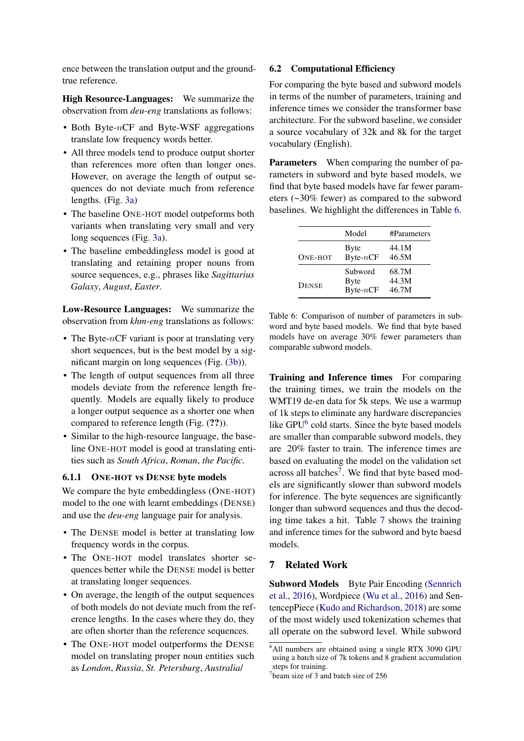ence between the translation output and the groundtrue reference.

High Resource-Languages: We summarize the observation from *deu-eng* translations as follows:

- Both Byte- $nCF$  and Byte-WSF aggregations translate low frequency words better.
- All three models tend to produce output shorter than references more often than longer ones. However, on average the length of output sequences do not deviate much from reference lengths. (Fig. [3a\)](#page-8-0)
- The baseline ONE-HOT model outpeforms both variants when translating very small and very long sequences (Fig. [3a\)](#page-8-0).
- The baseline embeddingless model is good at translating and retaining proper nouns from source sequences, e.g., phrases like *Sagittarius Galaxy*, *August*, *Easter*.

Low-Resource Languages: We summarize the observation from *khm-eng* translations as follows:

- The Byte- $nCF$  variant is poor at translating very short sequences, but is the best model by a significant margin on long sequences (Fig. [\(3b\)](#page-8-0)).
- The length of output sequences from all three models deviate from the reference length frequently. Models are equally likely to produce a longer output sequence as a shorter one when compared to reference length (Fig. (??)).
- Similar to the high-resource language, the baseline ONE-HOT model is good at translating entities such as *South Africa*, *Roman*, *the Pacific*.

## 6.1.1 ONE-HOT vs DENSE byte models

We compare the byte embeddingless (ONE-HOT) model to the one with learnt embeddings (DENSE) and use the *deu-eng* language pair for analysis.

- The DENSE model is better at translating low frequency words in the corpus.
- The ONE-HOT model translates shorter sequences better while the DENSE model is better at translating longer sequences.
- On average, the length of the output sequences of both models do not deviate much from the reference lengths. In the cases where they do, they are often shorter than the reference sequences.
- The ONE-HOT model outperforms the DENSE model on translating proper noun entities such as *London*, *Russia*, *St. Petersburg*, *Australia*/

### 6.2 Computational Efficiency

For comparing the byte based and subword models in terms of the number of parameters, training and inference times we consider the transformer base architecture. For the subword baseline, we consider a source vocabulary of 32k and 8k for the target vocabulary (English).

Parameters When comparing the number of parameters in subword and byte based models, we find that byte based models have far fewer parameters (~30% fewer) as compared to the subword baselines. We highlight the differences in Table [6.](#page-7-0)

<span id="page-7-0"></span>

|              | Model                                 | #Parameters             |
|--------------|---------------------------------------|-------------------------|
| ONE-HOT      | <b>Byte</b><br>Byte- $nCF$            | 44.1M<br>46.5M          |
| <b>DENSE</b> | Subword<br><b>Byte</b><br>Byte- $nCF$ | 68.7M<br>44.3M<br>46.7M |

Table 6: Comparison of number of parameters in subword and byte based models. We find that byte based models have on average 30% fewer parameters than comparable subword models.

Training and Inference times For comparing the training times, we train the models on the WMT19 de-en data for 5k steps. We use a warmup of 1k steps to eliminate any hardware discrepancies like GPU<sup>[6](#page-0-0)</sup> cold starts. Since the byte based models are smaller than comparable subword models, they are 20% faster to train. The inference times are based on evaluating the model on the validation set across all batches<sup>[7](#page-0-0)</sup>. We find that byte based models are significantly slower than subword models for inference. The byte sequences are significantly longer than subword sequences and thus the decoding time takes a hit. Table [7](#page-8-1) shows the training and inference times for the subword and byte baesd models.

# 7 Related Work

Subword Models Byte Pair Encoding [\(Sennrich](#page-10-1) [et al.,](#page-10-1) [2016\)](#page-10-1), Wordpiece [\(Wu et al.,](#page-11-3) [2016\)](#page-11-3) and SentencepPiece [\(Kudo and Richardson,](#page-10-2) [2018\)](#page-10-2) are some of the most widely used tokenization schemes that all operate on the subword level. While subword

<sup>6</sup>All numbers are obtained using a single RTX 3090 GPU using a batch size of 7k tokens and 8 gradient accumulation steps for training.

<sup>7</sup> beam size of 3 and batch size of 256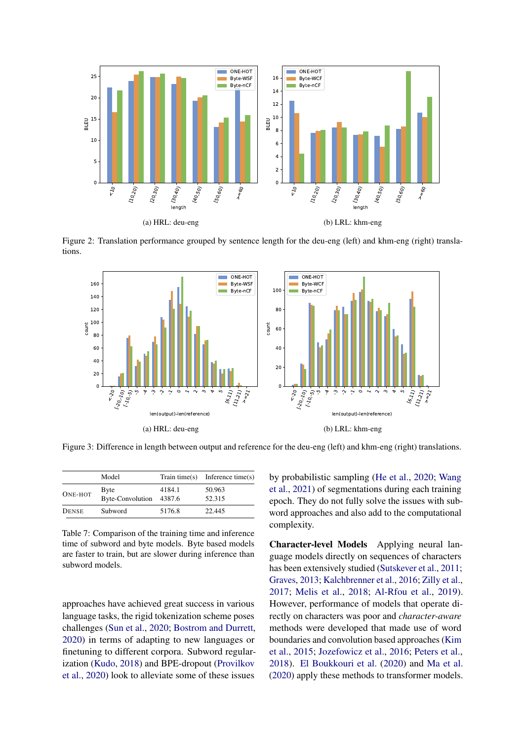

Figure 2: Translation performance grouped by sentence length for the deu-eng (left) and khm-eng (right) translations.

<span id="page-8-0"></span>

Figure 3: Difference in length between output and reference for the deu-eng (left) and khm-eng (right) translations.

<span id="page-8-1"></span>

|              | Model                           |        | Train time(s) Inference time(s) |
|--------------|---------------------------------|--------|---------------------------------|
| ONE-HOT      | Byte<br>Byte-Convolution 4387.6 | 4184.1 | 50.963<br>52.315                |
| <b>DENSE</b> | Subword                         | 5176.8 | 22.445                          |

Table 7: Comparison of the training time and inference time of subword and byte models. Byte based models are faster to train, but are slower during inference than subword models.

approaches have achieved great success in various language tasks, the rigid tokenization scheme poses challenges [\(Sun et al.,](#page-10-10) [2020;](#page-10-10) [Bostrom and Durrett,](#page-9-7) [2020\)](#page-9-7) in terms of adapting to new languages or finetuning to different corpora. Subword regularization [\(Kudo,](#page-10-11) [2018\)](#page-10-11) and BPE-dropout [\(Provilkov](#page-10-12) [et al.,](#page-10-12) [2020\)](#page-10-12) look to alleviate some of these issues

by probabilistic sampling [\(He et al.,](#page-9-8) [2020;](#page-9-8) [Wang](#page-11-4) [et al.,](#page-11-4) [2021\)](#page-11-4) of segmentations during each training epoch. They do not fully solve the issues with subword approaches and also add to the computational complexity.

Character-level Models Applying neural language models directly on sequences of characters has been extensively studied [\(Sutskever et al.,](#page-10-13) [2011;](#page-10-13) [Graves,](#page-9-9) [2013;](#page-9-9) [Kalchbrenner et al.,](#page-10-14) [2016;](#page-10-14) [Zilly et al.,](#page-11-5) [2017;](#page-11-5) [Melis et al.,](#page-10-15) [2018;](#page-10-15) [Al-Rfou et al.,](#page-9-10) [2019\)](#page-9-10). However, performance of models that operate directly on characters was poor and *character-aware* methods were developed that made use of word boundaries and convolution based approaches [\(Kim](#page-10-16) [et al.,](#page-10-16) [2015;](#page-10-16) [Jozefowicz et al.,](#page-10-17) [2016;](#page-10-17) [Peters et al.,](#page-10-18) [2018\)](#page-10-18). [El Boukkouri et al.](#page-9-11) [\(2020\)](#page-9-11) and [Ma et al.](#page-10-19) [\(2020\)](#page-10-19) apply these methods to transformer models.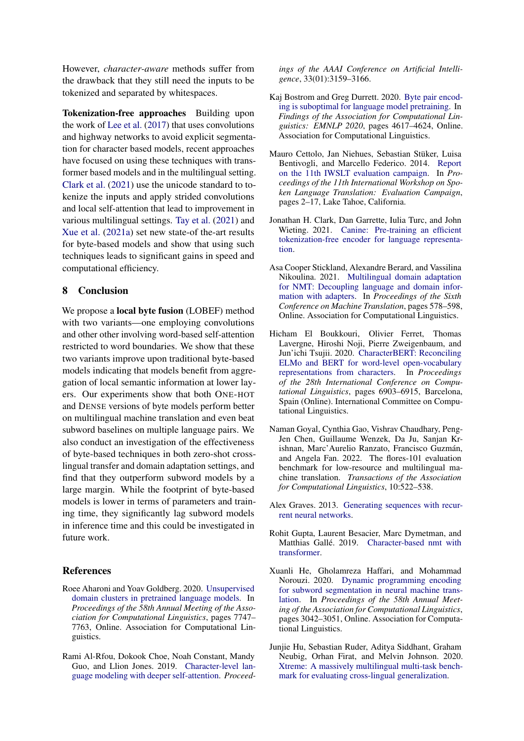However, *character-aware* methods suffer from the drawback that they still need the inputs to be tokenized and separated by whitespaces.

Tokenization-free approaches Building upon the work of [Lee et al.](#page-10-20) [\(2017\)](#page-10-20) that uses convolutions and highway networks to avoid explicit segmentation for character based models, recent approaches have focused on using these techniques with transformer based models and in the multilingual setting. [Clark et al.](#page-9-3) [\(2021\)](#page-9-3) use the unicode standard to tokenize the inputs and apply strided convolutions and local self-attention that lead to improvement in various multilingual settings. [Tay et al.](#page-10-5) [\(2021\)](#page-10-5) and [Xue et al.](#page-11-0) [\(2021a\)](#page-11-0) set new state-of the-art results for byte-based models and show that using such techniques leads to significant gains in speed and computational efficiency.

#### 8 Conclusion

We propose a local byte fusion (LOBEF) method with two variants—one employing convolutions and other other involving word-based self-attention restricted to word boundaries. We show that these two variants improve upon traditional byte-based models indicating that models benefit from aggregation of local semantic information at lower layers. Our experiments show that both ONE-HOT and DENSE versions of byte models perform better on multilingual machine translation and even beat subword baselines on multiple language pairs. We also conduct an investigation of the effectiveness of byte-based techniques in both zero-shot crosslingual transfer and domain adaptation settings, and find that they outperform subword models by a large margin. While the footprint of byte-based models is lower in terms of parameters and training time, they significantly lag subword models in inference time and this could be investigated in future work.

### References

- <span id="page-9-6"></span>Roee Aharoni and Yoav Goldberg. 2020. [Unsupervised](https://doi.org/10.18653/v1/2020.acl-main.692) [domain clusters in pretrained language models.](https://doi.org/10.18653/v1/2020.acl-main.692) In *Proceedings of the 58th Annual Meeting of the Association for Computational Linguistics*, pages 7747– 7763, Online. Association for Computational Linguistics.
- <span id="page-9-10"></span>Rami Al-Rfou, Dokook Choe, Noah Constant, Mandy Guo, and Llion Jones. 2019. [Character-level lan](https://doi.org/10.1609/aaai.v33i01.33013159)[guage modeling with deeper self-attention.](https://doi.org/10.1609/aaai.v33i01.33013159) *Proceed-*

*ings of the AAAI Conference on Artificial Intelligence*, 33(01):3159–3166.

- <span id="page-9-7"></span>Kaj Bostrom and Greg Durrett. 2020. [Byte pair encod](https://doi.org/10.18653/v1/2020.findings-emnlp.414)[ing is suboptimal for language model pretraining.](https://doi.org/10.18653/v1/2020.findings-emnlp.414) In *Findings of the Association for Computational Linguistics: EMNLP 2020*, pages 4617–4624, Online. Association for Computational Linguistics.
- <span id="page-9-4"></span>Mauro Cettolo, Jan Niehues, Sebastian Stüker, Luisa Bentivogli, and Marcello Federico. 2014. [Report](https://aclanthology.org/2014.iwslt-evaluation.1) [on the 11th IWSLT evaluation campaign.](https://aclanthology.org/2014.iwslt-evaluation.1) In *Proceedings of the 11th International Workshop on Spoken Language Translation: Evaluation Campaign*, pages 2–17, Lake Tahoe, California.
- <span id="page-9-3"></span>Jonathan H. Clark, Dan Garrette, Iulia Turc, and John Wieting. 2021. [Canine: Pre-training an efficient](https://doi.org/10.48550/ARXIV.2103.06874) [tokenization-free encoder for language representa](https://doi.org/10.48550/ARXIV.2103.06874)[tion.](https://doi.org/10.48550/ARXIV.2103.06874)
- <span id="page-9-1"></span>Asa Cooper Stickland, Alexandre Berard, and Vassilina Nikoulina. 2021. [Multilingual domain adaptation](https://aclanthology.org/2021.wmt-1.64) [for NMT: Decoupling language and domain infor](https://aclanthology.org/2021.wmt-1.64)[mation with adapters.](https://aclanthology.org/2021.wmt-1.64) In *Proceedings of the Sixth Conference on Machine Translation*, pages 578–598, Online. Association for Computational Linguistics.
- <span id="page-9-11"></span>Hicham El Boukkouri, Olivier Ferret, Thomas Lavergne, Hiroshi Noji, Pierre Zweigenbaum, and Jun'ichi Tsujii. 2020. [CharacterBERT: Reconciling](https://doi.org/10.18653/v1/2020.coling-main.609) [ELMo and BERT for word-level open-vocabulary](https://doi.org/10.18653/v1/2020.coling-main.609) [representations from characters.](https://doi.org/10.18653/v1/2020.coling-main.609) In *Proceedings of the 28th International Conference on Computational Linguistics*, pages 6903–6915, Barcelona, Spain (Online). International Committee on Computational Linguistics.
- <span id="page-9-5"></span>Naman Goyal, Cynthia Gao, Vishrav Chaudhary, Peng-Jen Chen, Guillaume Wenzek, Da Ju, Sanjan Krishnan, Marc'Aurelio Ranzato, Francisco Guzmán, and Angela Fan. 2022. The flores-101 evaluation benchmark for low-resource and multilingual machine translation. *Transactions of the Association for Computational Linguistics*, 10:522–538.
- <span id="page-9-9"></span>Alex Graves. 2013. [Generating sequences with recur](https://doi.org/10.48550/ARXIV.1308.0850)[rent neural networks.](https://doi.org/10.48550/ARXIV.1308.0850)
- <span id="page-9-2"></span>Rohit Gupta, Laurent Besacier, Marc Dymetman, and Matthias Gallé. 2019. [Character-based nmt with](https://doi.org/10.48550/ARXIV.1911.04997) [transformer.](https://doi.org/10.48550/ARXIV.1911.04997)
- <span id="page-9-8"></span>Xuanli He, Gholamreza Haffari, and Mohammad Norouzi. 2020. [Dynamic programming encoding](https://doi.org/10.18653/v1/2020.acl-main.275) [for subword segmentation in neural machine trans](https://doi.org/10.18653/v1/2020.acl-main.275)[lation.](https://doi.org/10.18653/v1/2020.acl-main.275) In *Proceedings of the 58th Annual Meeting of the Association for Computational Linguistics*, pages 3042–3051, Online. Association for Computational Linguistics.
- <span id="page-9-0"></span>Junjie Hu, Sebastian Ruder, Aditya Siddhant, Graham Neubig, Orhan Firat, and Melvin Johnson. 2020. [Xtreme: A massively multilingual multi-task bench](http://arxiv.org/abs/2003.11080)[mark for evaluating cross-lingual generalization.](http://arxiv.org/abs/2003.11080)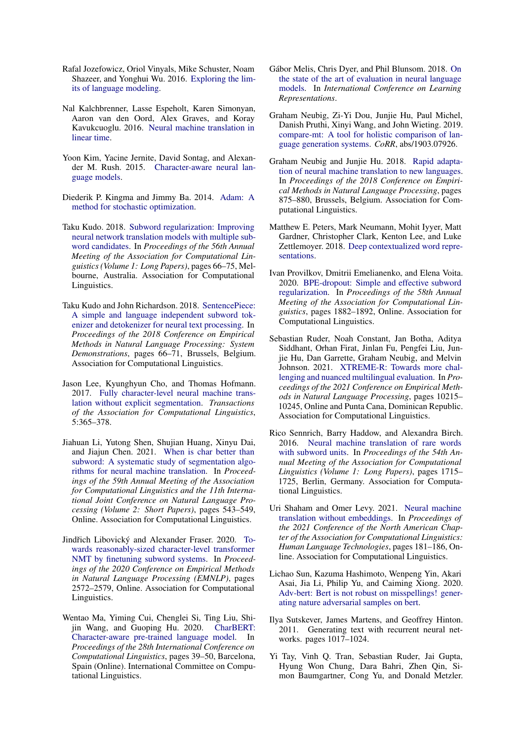- <span id="page-10-17"></span>Rafal Jozefowicz, Oriol Vinyals, Mike Schuster, Noam Shazeer, and Yonghui Wu. 2016. [Exploring the lim](https://doi.org/10.48550/ARXIV.1602.02410)[its of language modeling.](https://doi.org/10.48550/ARXIV.1602.02410)
- <span id="page-10-14"></span>Nal Kalchbrenner, Lasse Espeholt, Karen Simonyan, Aaron van den Oord, Alex Graves, and Koray Kavukcuoglu. 2016. [Neural machine translation in](https://doi.org/10.48550/ARXIV.1610.10099) [linear time.](https://doi.org/10.48550/ARXIV.1610.10099)
- <span id="page-10-16"></span>Yoon Kim, Yacine Jernite, David Sontag, and Alexander M. Rush. 2015. [Character-aware neural lan](https://doi.org/10.48550/ARXIV.1508.06615)[guage models.](https://doi.org/10.48550/ARXIV.1508.06615)
- <span id="page-10-8"></span>Diederik P. Kingma and Jimmy Ba. 2014. [Adam: A](https://doi.org/10.48550/ARXIV.1412.6980) [method for stochastic optimization.](https://doi.org/10.48550/ARXIV.1412.6980)
- <span id="page-10-11"></span>Taku Kudo. 2018. [Subword regularization: Improving](https://doi.org/10.18653/v1/P18-1007) [neural network translation models with multiple sub](https://doi.org/10.18653/v1/P18-1007)[word candidates.](https://doi.org/10.18653/v1/P18-1007) In *Proceedings of the 56th Annual Meeting of the Association for Computational Linguistics (Volume 1: Long Papers)*, pages 66–75, Melbourne, Australia. Association for Computational Linguistics.
- <span id="page-10-2"></span>Taku Kudo and John Richardson. 2018. [SentencePiece:](https://doi.org/10.18653/v1/D18-2012) [A simple and language independent subword tok](https://doi.org/10.18653/v1/D18-2012)[enizer and detokenizer for neural text processing.](https://doi.org/10.18653/v1/D18-2012) In *Proceedings of the 2018 Conference on Empirical Methods in Natural Language Processing: System Demonstrations*, pages 66–71, Brussels, Belgium. Association for Computational Linguistics.
- <span id="page-10-20"></span>Jason Lee, Kyunghyun Cho, and Thomas Hofmann. 2017. [Fully character-level neural machine trans](https://doi.org/10.1162/tacl_a_00067)[lation without explicit segmentation.](https://doi.org/10.1162/tacl_a_00067) *Transactions of the Association for Computational Linguistics*, 5:365–378.
- <span id="page-10-4"></span>Jiahuan Li, Yutong Shen, Shujian Huang, Xinyu Dai, and Jiajun Chen. 2021. [When is char better than](https://doi.org/10.18653/v1/2021.acl-short.69) [subword: A systematic study of segmentation algo](https://doi.org/10.18653/v1/2021.acl-short.69)[rithms for neural machine translation.](https://doi.org/10.18653/v1/2021.acl-short.69) In *Proceedings of the 59th Annual Meeting of the Association for Computational Linguistics and the 11th International Joint Conference on Natural Language Processing (Volume 2: Short Papers)*, pages 543–549, Online. Association for Computational Linguistics.
- <span id="page-10-3"></span>Jindřich Libovický and Alexander Fraser. 2020. [To](https://doi.org/10.18653/v1/2020.emnlp-main.203)[wards reasonably-sized character-level transformer](https://doi.org/10.18653/v1/2020.emnlp-main.203) [NMT by finetuning subword systems.](https://doi.org/10.18653/v1/2020.emnlp-main.203) In *Proceedings of the 2020 Conference on Empirical Methods in Natural Language Processing (EMNLP)*, pages 2572–2579, Online. Association for Computational Linguistics.
- <span id="page-10-19"></span>Wentao Ma, Yiming Cui, Chenglei Si, Ting Liu, Shijin Wang, and Guoping Hu. 2020. [CharBERT:](https://doi.org/10.18653/v1/2020.coling-main.4) [Character-aware pre-trained language model.](https://doi.org/10.18653/v1/2020.coling-main.4) In *Proceedings of the 28th International Conference on Computational Linguistics*, pages 39–50, Barcelona, Spain (Online). International Committee on Computational Linguistics.
- <span id="page-10-15"></span>Gábor Melis, Chris Dyer, and Phil Blunsom. 2018. [On](https://openreview.net/forum?id=ByJHuTgA-) [the state of the art of evaluation in neural language](https://openreview.net/forum?id=ByJHuTgA-) [models.](https://openreview.net/forum?id=ByJHuTgA-) In *International Conference on Learning Representations*.
- <span id="page-10-9"></span>Graham Neubig, Zi-Yi Dou, Junjie Hu, Paul Michel, Danish Pruthi, Xinyi Wang, and John Wieting. 2019. [compare-mt: A tool for holistic comparison of lan](http://arxiv.org/abs/1903.07926)[guage generation systems.](http://arxiv.org/abs/1903.07926) *CoRR*, abs/1903.07926.
- <span id="page-10-7"></span>Graham Neubig and Junjie Hu. 2018. [Rapid adapta](https://doi.org/10.18653/v1/D18-1103)[tion of neural machine translation to new languages.](https://doi.org/10.18653/v1/D18-1103) In *Proceedings of the 2018 Conference on Empirical Methods in Natural Language Processing*, pages 875–880, Brussels, Belgium. Association for Computational Linguistics.
- <span id="page-10-18"></span>Matthew E. Peters, Mark Neumann, Mohit Iyyer, Matt Gardner, Christopher Clark, Kenton Lee, and Luke Zettlemoyer. 2018. [Deep contextualized word repre](https://doi.org/10.48550/ARXIV.1802.05365)[sentations.](https://doi.org/10.48550/ARXIV.1802.05365)
- <span id="page-10-12"></span>Ivan Provilkov, Dmitrii Emelianenko, and Elena Voita. 2020. [BPE-dropout: Simple and effective subword](https://doi.org/10.18653/v1/2020.acl-main.170) [regularization.](https://doi.org/10.18653/v1/2020.acl-main.170) In *Proceedings of the 58th Annual Meeting of the Association for Computational Linguistics*, pages 1882–1892, Online. Association for Computational Linguistics.
- <span id="page-10-0"></span>Sebastian Ruder, Noah Constant, Jan Botha, Aditya Siddhant, Orhan Firat, Jinlan Fu, Pengfei Liu, Junjie Hu, Dan Garrette, Graham Neubig, and Melvin Johnson. 2021. [XTREME-R: Towards more chal](https://doi.org/10.18653/v1/2021.emnlp-main.802)[lenging and nuanced multilingual evaluation.](https://doi.org/10.18653/v1/2021.emnlp-main.802) In *Proceedings of the 2021 Conference on Empirical Methods in Natural Language Processing*, pages 10215– 10245, Online and Punta Cana, Dominican Republic. Association for Computational Linguistics.
- <span id="page-10-1"></span>Rico Sennrich, Barry Haddow, and Alexandra Birch. 2016. [Neural machine translation of rare words](https://doi.org/10.18653/v1/P16-1162) [with subword units.](https://doi.org/10.18653/v1/P16-1162) In *Proceedings of the 54th Annual Meeting of the Association for Computational Linguistics (Volume 1: Long Papers)*, pages 1715– 1725, Berlin, Germany. Association for Computational Linguistics.
- <span id="page-10-6"></span>Uri Shaham and Omer Levy. 2021. [Neural machine](https://doi.org/10.18653/v1/2021.naacl-main.17) [translation without embeddings.](https://doi.org/10.18653/v1/2021.naacl-main.17) In *Proceedings of the 2021 Conference of the North American Chapter of the Association for Computational Linguistics: Human Language Technologies*, pages 181–186, Online. Association for Computational Linguistics.
- <span id="page-10-10"></span>Lichao Sun, Kazuma Hashimoto, Wenpeng Yin, Akari Asai, Jia Li, Philip Yu, and Caiming Xiong. 2020. [Adv-bert: Bert is not robust on misspellings! gener](https://doi.org/10.48550/ARXIV.2003.04985)[ating nature adversarial samples on bert.](https://doi.org/10.48550/ARXIV.2003.04985)
- <span id="page-10-13"></span>Ilya Sutskever, James Martens, and Geoffrey Hinton. 2011. Generating text with recurrent neural networks. pages 1017–1024.
- <span id="page-10-5"></span>Yi Tay, Vinh Q. Tran, Sebastian Ruder, Jai Gupta, Hyung Won Chung, Dara Bahri, Zhen Qin, Simon Baumgartner, Cong Yu, and Donald Metzler.